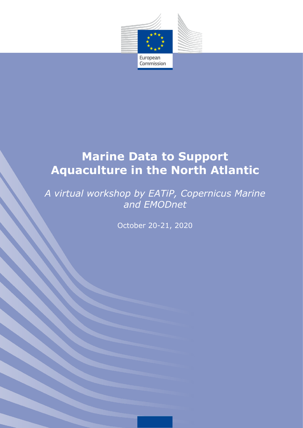

# **Marine Data to Support Aquaculture in the North Atlantic**

## *A virtual workshop by EATiP, Copernicus Marine and EMODnet*

October 20-21, 2020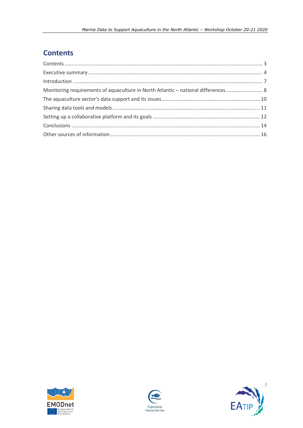### <span id="page-2-0"></span>**Contents**

| Monitoring requirements of aquaculture in North Atlantic – national differences  8 |  |
|------------------------------------------------------------------------------------|--|
|                                                                                    |  |
|                                                                                    |  |
|                                                                                    |  |
|                                                                                    |  |
|                                                                                    |  |





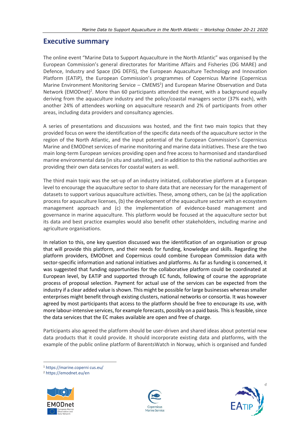#### <span id="page-3-0"></span>**Executive summary**

The online event "Marine Data to Support Aquaculture in the North Atlantic" was organised by the European Commission's general directorates for Maritime Affairs and Fisheries (DG MARE) and Defence, Industry and Space (DG DEFIS), the European Aquaculture Technology and Innovation Platform (EATiP), the European Commission's programmes of Copernicus Marine (Copernicus Marine Environment Monitoring Service - CMEMS<sup>1</sup>) and European Marine Observation and Data Network (EMODnet)<sup>2</sup>. More than 60 participants attended the event, with a background equally deriving from the aquaculture industry and the policy/coastal managers sector (37% each), with another 24% of attendees working on aquaculture research and 2% of participants from other areas, including data providers and consultancy agencies.

A series of presentations and discussions was hosted, and the first two main topics that they provided focus on were the identification of the specific data needs of the aquaculture sector in the region of the North Atlantic, and the input potential of the European Commission's Copernicus Marine and EMODnet services of marine monitoring and marine data initiatives. These are the two main long-term European services providing open and free access to harmonised and standardised marine environmental data (in situ and satellite), and in addition to this the national authorities are providing their own data services for coastal waters as well.

The third main topic was the set-up of an industry initiated, collaborative platform at a European level to encourage the aquaculture sector to share data that are necessary for the management of datasets to support various aquaculture activities. These, among others, can be (a) the application process for aquaculture licenses, (b) the development of the aquaculture sector with an ecosystem management approach and (c) the implementation of evidence-based management and governance in marine aquaculture. This platform would be focused at the aquaculture sector but its data and best practice examples would also benefit other stakeholders, including marine and agriculture organisations.

In relation to this, one key question discussed was the identification of an organisation or group that will provide this platform, and their needs for funding, knowledge and skills. Regarding the platform providers, EMODnet and Copernicus could combine European Commission data with sector-specific information and national initiatives and platforms. As far as funding is concerned, it was suggested that funding opportunities for the collaborative platform could be coordinated at European level, by EATiP and supported through EC funds, following of course the appropriate process of proposal selection. Payment for actual use of the services can be expected from the industry if a clear added value is shown. This might be possible for large businesses whereas smaller enterprises might benefit through existing clusters, national networks or consortia. It was however agreed by most participants that access to the platform should be free to encourage its use, with more labour-intensive services, for example forecasts, possibly on a paid basis. This is feasible, since the data services that the EC makes available are open and free of charge.

Participants also agreed the platform should be user-driven and shared ideas about potential new data products that it could provide. It should incorporate existing data and platforms, with the example of the public online platform of BarentsWatch in Norway, which is organised and funded

<sup>1</sup> https://marine.coperni cus.eu/

<sup>2</sup> <https://emodnet.eu/en>



-





*4*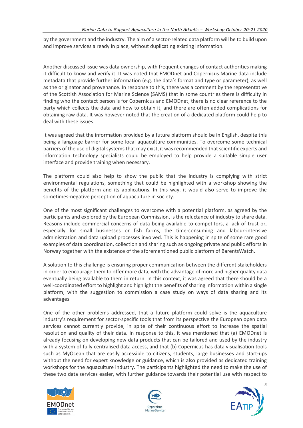by the government and the industry. The aim of a sector-related data platform will be to build upon and improve services already in place, without duplicating existing information.

Another discussed issue was data ownership, with frequent changes of contact authorities making it difficult to know and verify it. It was noted that EMODnet and Copernicus Marine data include metadata that provide further information (e.g. the data's format and type or parameter), as well as the originator and provenance. In response to this, there was a comment by the representative of the Scottish Association for Marine Science (SAMS) that in some countries there is difficulty in finding who the contact person is for Copernicus and EMODnet, there is no clear reference to the party which collects the data and how to obtain it, and there are often added complications for obtaining raw data. It was however noted that the creation of a dedicated platform could help to deal with these issues.

It was agreed that the information provided by a future platform should be in English, despite this being a language barrier for some local aquaculture communities. To overcome some technical barriers of the use of digital systems that may exist, it was recommended that scientific experts and information technology specialists could be employed to help provide a suitable simple user interface and provide training when necessary.

The platform could also help to show the public that the industry is complying with strict environmental regulations, something that could be highlighted with a workshop showing the benefits of the platform and its applications. In this way, it would also serve to improve the sometimes-negative perception of aquaculture in society.

One of the most significant challenges to overcome with a potential platform, as agreed by the participants and explored by the European Commission, is the reluctance of industry to share data. Reasons include commercial concerns of data being available to competitors, a lack of trust or, especially for small businesses or fish farms, the time-consuming and labour-intensive administration and data upload processes involved. This is happening in spite of some rare good examples of data coordination, collection and sharing such as ongoing private and public efforts in Norway together with the existence of the aforementioned public platform of BarentsWatch.

A solution to this challenge is ensuring proper communication between the different stakeholders in order to encourage them to offer more data, with the advantage of more and higher quality data eventually being available to them in return. In this context, it was agreed that there should be a well-coordinated effort to highlight and highlight the benefits of sharing information within a single platform, with the suggestion to commission a case study on ways of data sharing and its advantages.

One of the other problems addressed, that a future platform could solve is the aquaculture industry's requirement for sector-specific tools that from its perspective the European open data services cannot currently provide, in spite of their continuous effort to increase the spatial resolution and quality of their data. In response to this, it was mentioned that (a) EMODnet is already focusing on developing new data products that can be tailored and used by the industry with a system of fully centralised data access, and that (b) Copernicus has data visualisation tools such as MyOcean that are easily accessible to citizens, students, large businesses and start-ups without the need for expert knowledge or guidance, which is also provided as dedicated training workshops for the aquaculture industry. The participants highlighted the need to make the use of these two data services easier, with further guidance towards their potential use with respect to





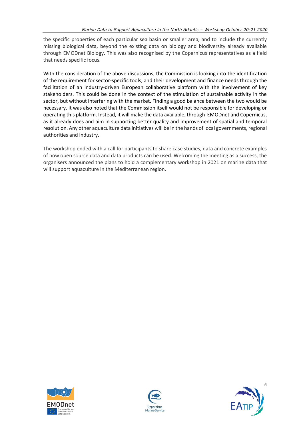the specific properties of each particular sea basin or smaller area, and to include the currently missing biological data, beyond the existing data on biology and biodiversity already available through EMODnet Biology. This was also recognised by the Copernicus representatives as a field that needs specific focus.

With the consideration of the above discussions, the Commission is looking into the identification of the requirement for sector-specific tools, and their development and finance needs through the facilitation of an industry-driven European collaborative platform with the involvement of key stakeholders. This could be done in the context of the stimulation of sustainable activity in the sector, but without interfering with the market. Finding a good balance between the two would be necessary. It was also noted that the Commission itself would not be responsible for developing or operating this platform. Instead, it will make the data available, through EMODnet and Copernicus, as it already does and aim in supporting better quality and improvement of spatial and temporal resolution. Any other aquaculture data initiatives will be in the hands of local governments, regional authorities and industry.

The workshop ended with a call for participants to share case studies, data and concrete examples of how open source data and data products can be used. Welcoming the meeting as a success, the organisers announced the plans to hold a complementary workshop in 2021 on marine data that will support aquaculture in the Mediterranean region.





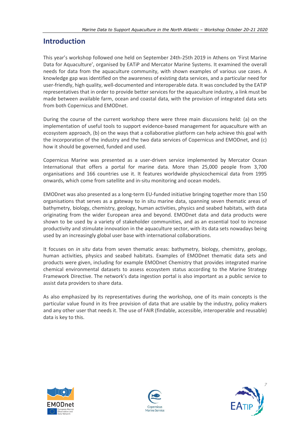#### <span id="page-6-0"></span>**Introduction**

This year's workshop followed one held on September 24th-25th 2019 in Athens on 'First Marine Data for Aquaculture', organised by EATiP and Mercator Marine Systems. It examined the overall needs for data from the aquaculture community, with shown examples of various use cases. A knowledge gap was identified on the awareness of existing data services, and a particular need for user-friendly, high quality, well-documented and interoperable data. It was concluded by the EATiP representatives that in order to provide better services for the aquaculture industry, a link must be made between available farm, ocean and coastal data, with the provision of integrated data sets from both Copernicus and EMODnet.

During the course of the current workshop there were three main discussions held: (a) on the implementation of useful tools to support evidence-based management for aquaculture with an ecosystem approach, (b) on the ways that a collaborative platform can help achieve this goal with the incorporation of the industry and the two data services of Copernicus and EMODnet, and (c) how it should be governed, funded and used.

Copernicus Marine was presented as a user-driven service implemented by Mercator Ocean International that offers a portal for marine data. More than 25,000 people from 3,700 organisations and 166 countries use it. It features worldwide physicochemical data from 1995 onwards, which come from satellite and in-situ monitoring and ocean models.

EMODnet was also presented as a long-term EU-funded initiative bringing together more than 150 organisations that serves as a gateway to in situ marine data, spanning seven thematic areas of bathymetry, biology, chemistry, geology, human activities, physics and seabed habitats, with data originating from the wider European area and beyond. EMODnet data and data products were shown to be used by a variety of stakeholder communities, and as an essential tool to increase productivity and stimulate innovation in the aquaculture sector, with its data sets nowadays being used by an increasingly global user base with international collaborations.

It focuses on *in situ* data from seven thematic areas: bathymetry, biology, chemistry, geology, human activities, physics and seabed habitats. Examples of EMODnet thematic data sets and products were given, including for example EMODnet Chemistry that provides integrated marine chemical environmental datasets to assess ecosystem status according to the Marine Strategy Framework Directive. The network's data ingestion portal is also important as a public service to assist data providers to share data.

As also emphasized by its representatives during the workshop, one of its main concepts is the particular value found in its free provision of data that are usable by the industry, policy makers and any other user that needs it. The use of FAIR (findable, accessible, interoperable and reusable) data is key to this.





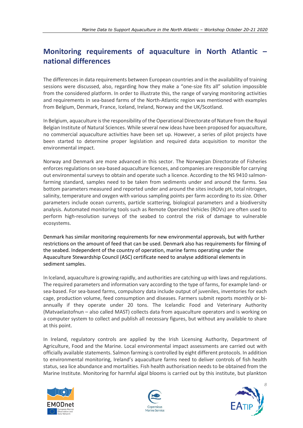#### <span id="page-7-0"></span>**Monitoring requirements of aquaculture in North Atlantic – national differences**

The differences in data requirements between European countries and in the availability of training sessions were discussed, also, regarding how they make a "one-size fits all" solution impossible from the considered platform. In order to illustrate this, the range of varying monitoring activities and requirements in sea-based farms of the North-Atlantic region was mentioned with examples from Belgium, Denmark, France, Iceland, Ireland, Norway and the UK/Scotland.

In Belgium, aquaculture is the responsibility of the Operational Directorate of Nature from the Royal Belgian Institute of Natural Sciences. While several new ideas have been proposed for aquaculture, no commercial aquaculture activities have been set up. However, a series of pilot projects have been started to determine proper legislation and required data acquisition to monitor the environmental impact.

Norway and Denmark are more advanced in this sector. The Norwegian Directorate of Fisheries enforces regulations on sea-based aquaculture licences, and companies are responsible for carrying out environmental surveys to obtain and operate such a licence. According to the NS 9410 salmonfarming standard, samples need to be taken from sediments under and around the farms. Sea bottom parameters measured and reported under and around the sites include pH, total nitrogen, salinity, temperature and oxygen with various sampling points per farm according to its size. Other parameters include ocean currents, particle scattering, biological parameters and a biodiversity analysis. Automated monitoring tools such as Remote Operated Vehicles (ROVs) are often used to perform high-resolution surveys of the seabed to control the risk of damage to vulnerable ecosystems.

Denmark has similar monitoring requirements for new environmental approvals, but with further restrictions on the amount of feed that can be used. Denmark also has requirements for filming of the seabed. Independent of the country of operation, marine farms operating under the Aquaculture Stewardship Council (ASC) certificate need to analyse additional elements in sediment samples.

In Iceland, aquaculture is growing rapidly, and authorities are catching up with laws and regulations. The required parameters and information vary according to the type of farms, for example land- or sea-based. For sea-based farms, compulsory data include output of juveniles, inventories for each cage, production volume, feed consumption and diseases. Farmers submit reports monthly or biannually if they operate under 20 tons. The Icelandic Food and Veterinary Authority (Matvaelastofnun – also called MAST) collects data from aquaculture operators and is working on a computer system to collect and publish all necessary figures, but without any available to share at this point.

In Ireland, regulatory controls are applied by the Irish Licensing Authority, Department of Agriculture, Food and the Marine. Local environmental impact assessments are carried out with officially available statements. Salmon farming is controlled by eight different protocols. In addition to environmental monitoring, Ireland's aquaculture farms need to deliver controls of fish health status, sea lice abundance and mortalities. Fish health authorisation needs to be obtained from the Marine Institute. Monitoring for harmful algal blooms is carried out by this institute, but plankton





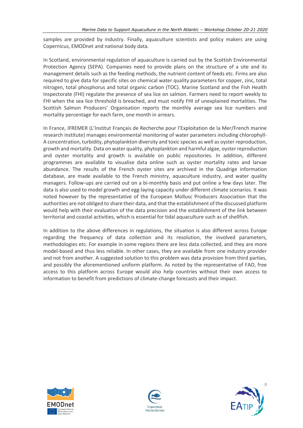samples are provided by industry. Finally, aquaculture scientists and policy makers are using Copernicus, EMODnet and national body data.

In Scotland, environmental regulation of aquaculture is carried out by the Scottish Environmental Protection Agency (SEPA). Companies need to provide plans on the structure of a site and its management details such as the feeding methods, the nutrient content of feeds etc. Firms are also required to give data for specific sites on chemical water quality parameters for copper, zinc, total nitrogen, total phosphorus and total organic carbon (TOC). Marine Scotland and the Fish Health Inspectorate (FHI) regulate the presence of sea lice on salmon. Farmers need to report weekly to FHI when the sea lice threshold is breached, and must notify FHI of unexplained mortalities. The Scottish Salmon Producers' Organisation reports the monthly average sea lice numbers and mortality percentage for each farm, one month in arrears.

In France, IFREMER (L'Institut Français de Recherche pour l'Exploitation de la Mer/French marine research institute) manages environmental monitoring of water parameters including chlorophyll-A concentration, turbidity, phytoplankton diversity and toxic species as well as oyster reproduction, growth and mortality. Data on water quality, phytoplankton and harmful algae, oyster reproduction and oyster mortality and growth is available on public repositories. In addition, different programmes are available to visualise data online such as oyster mortality rates and larvae abundance. The results of the French oyster sites are archived in the Quadrige information database, are made available to the French ministry, aquaculture industry, and water quality managers. Follow-ups are carried out on a bi-monthly basis and put online a few days later. The data is also used to model growth and egg-laying capacity under different climate scenarios. It was noted however by the representative of the European Mollusc Producers Association that the authorities are not obliged to share their data, and that the establishment of the discussed platform would help with their evaluation of the data precision and the establishment of the link between territorial and coastal activities, which is essential for tidal aquaculture such as of shellfish.

In addition to the above differences in regulations, the situation is also different across Europe regarding the frequency of data collection and its resolution, the involved parameters, methodologies etc. For example in some regions there are less data collected, and they are more model-based and thus less reliable. In other cases, they are available from one industry provider and not from another. A suggested solution to this problem was data provision from third parties, and possibly the aforementioned uniform platform. As noted by the representative of FAO, free access to this platform across Europe would also help countries without their own access to information to benefit from predictions of climate-change forecasts and their impact.





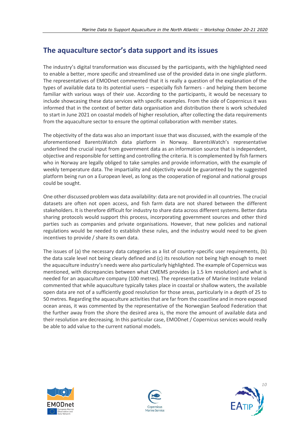#### <span id="page-9-0"></span>**The aquaculture sector's data support and its issues**

The industry's digital transformation was discussed by the participants, with the highlighted need to enable a better, more specific and streamlined use of the provided data in one single platform. The representatives of EMODnet commented that it is really a question of the explanation of the types of available data to its potential users – especially fish farmers - and helping them become familiar with various ways of their use. According to the participants, it would be necessary to include showcasing these data services with specific examples. From the side of Copernicus it was informed that in the context of better data organisation and distribution there is work scheduled to start in June 2021 on coastal models of higher resolution, after collecting the data requirements from the aquaculture sector to ensure the optimal collaboration with member states.

The objectivity of the data was also an important issue that was discussed, with the example of the aforementioned BarentsWatch data platform in Norway. BarentsWatch's representative underlined the crucial input from government data as an information source that is independent, objective and responsible for setting and controlling the criteria. It is complemented by fish farmers who in Norway are legally obliged to take samples and provide information, with the example of weekly temperature data. The impartiality and objectivity would be guaranteed by the suggested platform being run on a European level, as long as the cooperation of regional and national groups could be sought.

One other discussed problem was data availability: data are not provided in all countries. The crucial datasets are often not open access, and fish farm data are not shared between the different stakeholders. It is therefore difficult for industry to share data across different systems. Better data sharing protocols would support this process, incorporating government sources and other third parties such as companies and private organisations. However, that new policies and national regulations would be needed to establish these rules, and the industry would need to be given incentives to provide / share its own data.

The issues of (a) the necessary data categories as a list of country-specific user requirements, (b) the data scale level not being clearly defined and (c) its resolution not being high enough to meet the aquaculture industry's needs were also particularly highlighted. The example of Copernicus was mentioned, with discrepancies between what CMEMS provides (a 1.5 km resolution) and what is needed for an aquaculture company (100 metres). The representative of Marine Institute Ireland commented that while aquaculture typically takes place in coastal or shallow waters, the available open data are not of a sufficiently good resolution for those areas, particularly in a depth of 25 to 50 metres. Regarding the aquaculture activities that are far from the coastline and in more exposed ocean areas, it was commented by the representative of the Norwegian Seafood Federation that the further away from the shore the desired area is, the more the amount of available data and their resolution are decreasing. In this particular case, EMODnet / Copernicus services would really be able to add value to the current national models.





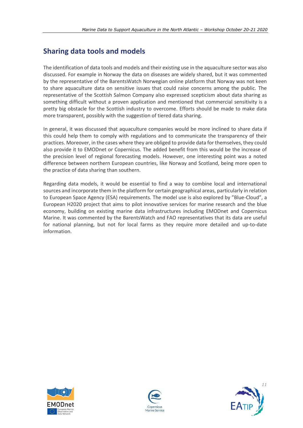#### <span id="page-10-0"></span>**Sharing data tools and models**

The identification of data tools and models and their existing use in the aquaculture sector was also discussed. For example in Norway the data on diseases are widely shared, but it was commented by the representative of the BarentsWatch Norwegian online platform that Norway was not keen to share aquaculture data on sensitive issues that could raise concerns among the public. The representative of the Scottish Salmon Company also expressed scepticism about data sharing as something difficult without a proven application and mentioned that commercial sensitivity is a pretty big obstacle for the Scottish industry to overcome. Efforts should be made to make data more transparent, possibly with the suggestion of tiered data sharing.

In general, it was discussed that aquaculture companies would be more inclined to share data if this could help them to comply with regulations and to communicate the transparency of their practices. Moreover, in the cases where they are obliged to provide data for themselves, they could also provide it to EMODnet or Copernicus. The added benefit from this would be the increase of the precision level of regional forecasting models. However, one interesting point was a noted difference between northern European countries, like Norway and Scotland, being more open to the practice of data sharing than southern.

Regarding data models, it would be essential to find a way to combine local and international sources and incorporate them in the platform for certain geographical areas, particularly in relation to European Space Agency (ESA) requirements. The model use is also explored by "Blue-Cloud", a European H2020 project that aims to pilot innovative services for marine research and the blue economy, building on existing marine data infrastructures including EMODnet and Copernicus Marine. It was commented by the BarentsWatch and FAO representatives that its data are useful for national planning, but not for local farms as they require more detailed and up-to-date information.





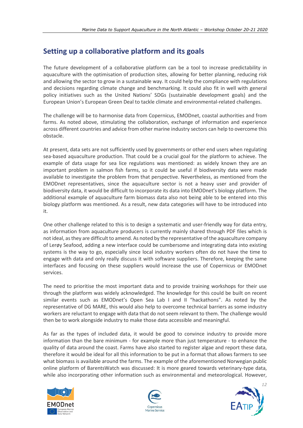#### <span id="page-11-0"></span>**Setting up a collaborative platform and its goals**

The future development of a collaborative platform can be a tool to increase predictability in aquaculture with the optimisation of production sites, allowing for better planning, reducing risk and allowing the sector to grow in a sustainable way. It could help the compliance with regulations and decisions regarding climate change and benchmarking. It could also fit in well with general policy initiatives such as the United Nations' SDGs (sustainable development goals) and the European Union's European Green Deal to tackle climate and environmental-related challenges.

The challenge will be to harmonise data from Copernicus, EMODnet, coastal authorities and from farms. As noted above, stimulating the collaboration, exchange of information and experience across different countries and advice from other marine industry sectors can help to overcome this obstacle.

At present, data sets are not sufficiently used by governments or other end users when regulating sea-based aquaculture production. That could be a crucial goal for the platform to achieve. The example of data usage for sea lice regulations was mentioned: as widely known they are an important problem in salmon fish farms, so it could be useful if biodiversity data were made available to investigate the problem from that perspective. Nevertheless, as mentioned from the EMODnet representatives, since the aquaculture sector is not a heavy user and provider of biodiversity data, it would be difficult to incorporate its data into EMODnet's biology platform. The additional example of aquaculture farm biomass data also not being able to be entered into this biology platform was mentioned. As a result, new data categories will have to be introduced into it.

One other challenge related to this is to design a systematic and user-friendly way for data entry, as information from aquaculture producers is currently mainly shared through PDF files which is not ideal, as they are difficult to amend. As noted by the representative of the aquaculture company of Lerøy Seafood, adding a new interface could be cumbersome and integrating data into existing systems is the way to go, especially since local industry workers often do not have the time to engage with data and only really discuss it with software suppliers. Therefore, keeping the same interfaces and focusing on these suppliers would increase the use of Copernicus or EMODnet services.

The need to prioritise the most important data and to provide training workshops for their use through the platform was widely acknowledged. The knowledge for this could be built on recent similar events such as EMODnet's Open Sea Lab I and II "hackathons". As noted by the representative of DG MARE, this would also help to overcome technical barriers as some industry workers are reluctant to engage with data that do not seem relevant to them. The challenge would then be to work alongside industry to make those data accessible and meaningful.

As far as the types of included data, it would be good to convince industry to provide more information than the bare minimum - for example more than just temperature - to enhance the quality of data around the coast. Farms have also started to register algae and report these data, therefore it would be ideal for all this information to be put in a format that allows farmers to see what biomass is available around the farms. The example of the aforementioned Norwegian public online platform of BarentsWatch was discussed: It is more geared towards veterinary-type data, while also incorporating other information such as environmental and meteorological. However,





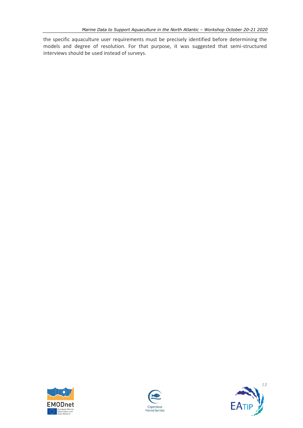the specific aquaculture user requirements must be precisely identified before determining the models and degree of resolution. For that purpose, it was suggested that semi-structured interviews should be used instead of surveys.





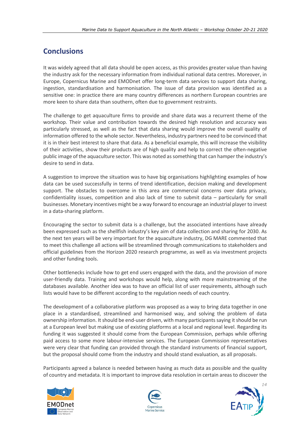#### <span id="page-13-0"></span>**Conclusions**

It was widely agreed that all data should be open access, as this provides greater value than having the industry ask for the necessary information from individual national data centres. Moreover, in Europe, Copernicus Marine and EMODnet offer long-term data services to support data sharing, ingestion, standardisation and harmonisation. The issue of data provision was identified as a sensitive one: in practice there are many country differences as northern European countries are more keen to share data than southern, often due to government restraints.

The challenge to get aquaculture firms to provide and share data was a recurrent theme of the workshop. Their value and contribution towards the desired high resolution and accuracy was particularly stressed, as well as the fact that data sharing would improve the overall quality of information offered to the whole sector. Nevertheless, industry partners need to be convinced that it is in their best interest to share that data. As a beneficial example, this will increase the visibility of their activities, show their products are of high quality and help to correct the often-negative public image of the aquaculture sector. This was noted as something that can hamper the industry's desire to send in data.

A suggestion to improve the situation was to have big organisations highlighting examples of how data can be used successfully in terms of trend identification, decision making and development support. The obstacles to overcome in this area are commercial concerns over data privacy, confidentiality issues, competition and also lack of time to submit data – particularly for small businesses. Monetary incentives might be a way forward to encourage an industrial player to invest in a data-sharing platform.

Encouraging the sector to submit data is a challenge, but the associated intentions have already been expressed such as the shellfish industry's key aim of data collection and sharing for 2030. As the next ten years will be very important for the aquaculture industry, DG MARE commented that to meet this challenge all actions will be streamlined through communications to stakeholders and official guidelines from the Horizon 2020 research programme, as well as via investment projects and other funding tools.

Other bottlenecks include how to get end users engaged with the data, and the provision of more user-friendly data. Training and workshops would help, along with more mainstreaming of the databases available. Another idea was to have an official list of user requirements, although such lists would have to be different according to the regulation needs of each country.

The development of a collaborative platform was proposed as a way to bring data together in one place in a standardised, streamlined and harmonised way, and solving the problem of data ownership information. It should be end-user driven, with many participants saying it should be run at a European level but making use of existing platforms at a local and regional level. Regarding its funding it was suggested it should come from the European Commission, perhaps while offering paid access to some more labour-intensive services. The European Commission representatives were very clear that funding can provided through the standard instruments of financial support, but the proposal should come from the industry and should stand evaluation, as all proposals.

Participants agreed a balance is needed between having as much data as possible and the quality of country and metadata. It is important to improve data resolution in certain areas to discover the





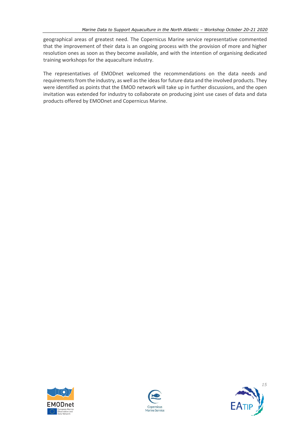geographical areas of greatest need. The Copernicus Marine service representative commented that the improvement of their data is an ongoing process with the provision of more and higher resolution ones as soon as they become available, and with the intention of organising dedicated training workshops for the aquaculture industry.

The representatives of EMODnet welcomed the recommendations on the data needs and requirements from the industry, as well as the ideas for future data and the involved products. They were identified as points that the EMOD network will take up in further discussions, and the open invitation was extended for industry to collaborate on producing joint use cases of data and data products offered by EMODnet and Copernicus Marine.